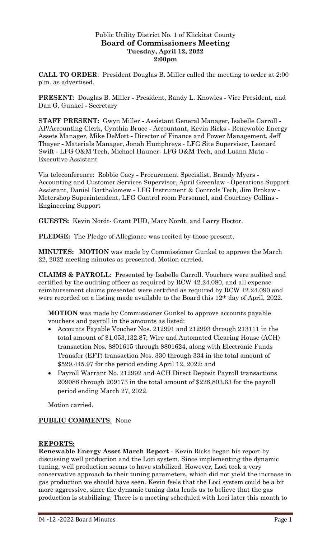## Public Utility District No. 1 of Klickitat County **Board of Commissioners Meeting Tuesday, April 12, 2022 2:00pm**

**CALL TO ORDER**: President Douglas B. Miller called the meeting to order at 2:00 p.m. as advertised.

**PRESENT**: Douglas B. Miller **-** President, Randy L. Knowles **-** Vice President, and Dan G. Gunkel **-** Secretary

**STAFF PRESENT:** Gwyn Miller **-** Assistant General Manager, Isabelle Carroll **-** AP/Accounting Clerk, Cynthia Bruce **-** Accountant, Kevin Ricks **-** Renewable Energy Assets Manager, Mike DeMott **-** Director of Finance and Power Management, Jeff Thayer **-** Materials Manager, Jonah Humphreys - LFG Site Supervisor, Leonard Swift - LFG O&M Tech, Michael Hauner- LFG O&M Tech, and Luann Mata **-** Executive Assistant

Via teleconference: Robbie Cacy **-** Procurement Specialist, Brandy Myers **-** Accounting and Customer Services Supervisor, April Greenlaw **-** Operations Support Assistant, Daniel Bartholomew **-** LFG Instrument & Controls Tech, Jim Brokaw **-** Metershop Superintendent, LFG Control room Personnel, and Courtney Collins **-** Engineering Support

**GUESTS:** Kevin Nordt- Grant PUD, Mary Nordt, and Larry Hoctor.

**PLEDGE:** The Pledge of Allegiance was recited by those present.

**MINUTES: MOTION** was made by Commissioner Gunkel to approve the March 22, 2022 meeting minutes as presented. Motion carried.

**CLAIMS & PAYROLL**: Presented by Isabelle Carroll. Vouchers were audited and certified by the auditing officer as required by RCW 42.24.080, and all expense reimbursement claims presented were certified as required by RCW 42.24.090 and were recorded on a listing made available to the Board this 12<sup>th</sup> day of April, 2022.

**MOTION** was made by Commissioner Gunkel to approve accounts payable vouchers and payroll in the amounts as listed:

- Accounts Payable Voucher Nos. 212991 and 212993 through 213111 in the total amount of \$1,053,132.87; Wire and Automated Clearing House (ACH) transaction Nos. 8801615 through 8801624, along with Electronic Funds Transfer (EFT) transaction Nos. 330 through 334 in the total amount of \$529,445.97 for the period ending April 12, 2022; and
- Payroll Warrant No. 212992 and ACH Direct Deposit Payroll transactions 209088 through 209173 in the total amount of \$228,803.63 for the payroll period ending March 27, 2022.

Motion carried.

# **PUBLIC COMMENTS**: None

### **REPORTS:**

**Renewable Energy Asset March Report** - Kevin Ricks began his report by discussing well production and the Loci system. Since implementing the dynamic tuning, well production seems to have stabilized. However, Loci took a very conservative approach to their tuning parameters, which did not yield the increase in gas production we should have seen. Kevin feels that the Loci system could be a bit more aggressive, since the dynamic tuning data leads us to believe that the gas production is stabilizing. There is a meeting scheduled with Loci later this month to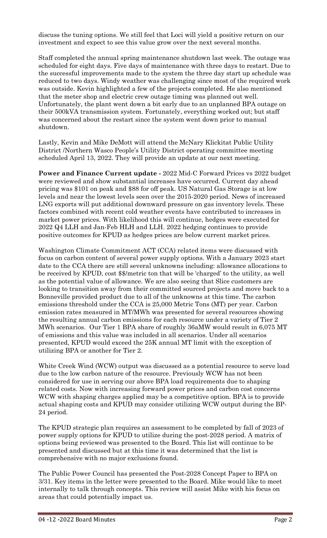discuss the tuning options. We still feel that Loci will yield a positive return on our investment and expect to see this value grow over the next several months.

Staff completed the annual spring maintenance shutdown last week. The outage was scheduled for eight days. Five days of maintenance with three days to restart. Due to the successful improvements made to the system the three day start up schedule was reduced to two days. Windy weather was challenging since most of the required work was outside. Kevin highlighted a few of the projects completed. He also mentioned that the meter shop and electric crew outage timing was planned out well. Unfortunately, the plant went down a bit early due to an unplanned BPA outage on their 500kVA transmission system. Fortunately, everything worked out; but staff was concerned about the restart since the system went down prior to manual shutdown.

Lastly, Kevin and Mike DeMott will attend the McNary Klickitat Public Utility District /Northern Wasco People's Utility District operating committee meeting scheduled April 13, 2022. They will provide an update at our next meeting.

**Power and Finance Current update -** 2022 Mid-C Forward Prices vs 2022 budget were reviewed and show substantial increases have occurred. Current day ahead pricing was \$101 on peak and \$88 for off peak. US Natural Gas Storage is at low levels and near the lowest levels seen over the 2015-2020 period. News of increased LNG exports will put additional downward pressure on gas inventory levels. These factors combined with recent cold weather events have contributed to increases in market power prices. With likelihood this will continue, hedges were executed for 2022 Q4 LLH and Jan-Feb HLH and LLH. 2022 hedging continues to provide positive outcomes for KPUD as hedges prices are below current market prices.

Washington Climate Commitment ACT (CCA) related items were discussed with focus on carbon content of several power supply options. With a January 2023 start date to the CCA there are still several unknowns including: allowance allocations to be received by KPUD, cost \$\$/metric ton that will be 'charged' to the utility, as well as the potential value of allowance. We are also seeing that Slice customers are looking to transition away from their committed sourced projects and move back to a Bonneville provided product due to all of the unknowns at this time. The carbon emissions threshold under the CCA is 25,000 Metric Tons (MT) per year. Carbon emission rates measured in MT/MWh was presented for several resources showing the resulting annual carbon emissions for each resource under a variety of Tier 2 MWh scenarios. Our Tier 1 BPA share of roughly 36aMW would result in 6,075 MT of emissions and this value was included in all scenarios. Under all scenarios presented, KPUD would exceed the 25K annual MT limit with the exception of utilizing BPA or another for Tier 2.

White Creek Wind (WCW) output was discussed as a potential resource to serve load due to the low carbon nature of the resource. Previously WCW has not been considered for use in serving our above BPA load requirements due to shaping related costs. Now with increasing forward power prices and carbon cost concerns WCW with shaping charges applied may be a competitive option. BPA is to provide actual shaping costs and KPUD may consider utilizing WCW output during the BP-24 period.

The KPUD strategic plan requires an assessment to be completed by fall of 2023 of power supply options for KPUD to utilize during the post-2028 period. A matrix of options being reviewed was presented to the Board. This list will continue to be presented and discussed but at this time it was determined that the list is comprehensive with no major exclusions found.

The Public Power Council has presented the Post-2028 Concept Paper to BPA on 3/31. Key items in the letter were presented to the Board. Mike would like to meet internally to talk through concepts. This review will assist Mike with his focus on areas that could potentially impact us.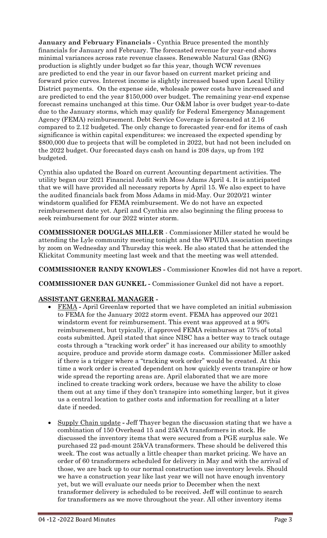**January and February Financials -** Cynthia Bruce presented the monthly financials for January and February. The forecasted revenue for year-end shows minimal variances across rate revenue classes. Renewable Natural Gas (RNG) production is slightly under budget so far this year, though WCW revenues are predicted to end the year in our favor based on current market pricing and forward price curves. Interest income is slightly increased based upon Local Utility District payments. On the expense side, wholesale power costs have increased and are predicted to end the year \$150,000 over budget. The remaining year-end expense forecast remains unchanged at this time. Our O&M labor is over budget year-to-date due to the January storms, which may qualify for Federal Emergency Management Agency (FEMA) reimbursement. Debt Service Coverage is forecasted at 2.16 compared to 2.12 budgeted. The only change to forecasted year-end for items of cash significance is within capital expenditures: we increased the expected spending by \$800,000 due to projects that will be completed in 2022, but had not been included on the 2022 budget. Our forecasted days cash on hand is 208 days, up from 192 budgeted.

Cynthia also updated the Board on current Accounting department activities. The utility began our 2021 Financial Audit with Moss Adams April 4. It is anticipated that we will have provided all necessary reports by April 15. We also expect to have the audited financials back from Moss Adams in mid-May. Our 2020/21 winter windstorm qualified for FEMA reimbursement. We do not have an expected reimbursement date yet. April and Cynthia are also beginning the filing process to seek reimbursement for our 2022 winter storm.

**COMMISSIONER DOUGLAS MILLER** - Commissioner Miller stated he would be attending the Lyle community meeting tonight and the WPUDA association meetings by zoom on Wednesday and Thursday this week. He also stated that he attended the Klickitat Community meeting last week and that the meeting was well attended.

**COMMISSIONER RANDY KNOWLES -** Commissioner Knowles did not have a report.

**COMMISSIONER DAN GUNKEL -** Commissioner Gunkel did not have a report.

# **ASSISTANT GENERAL MANAGER -**

- FEMA **-** April Greenlaw reported that we have completed an initial submission to FEMA for the January 2022 storm event. FEMA has approved our 2021 windstorm event for reimbursement. This event was approved at a 90% reimbursement, but typically, if approved FEMA reimburses at 75% of total costs submitted. April stated that since NISC has a better way to track outage costs through a "tracking work order" it has increased our ability to smoothly acquire, produce and provide storm damage costs. Commissioner Miller asked if there is a trigger where a "tracking work order" would be created. At this time a work order is created dependent on how quickly events transpire or how wide spread the reporting areas are. April elaborated that we are more inclined to create tracking work orders, because we have the ability to close them out at any time if they don't transpire into something larger, but it gives us a central location to gather costs and information for recalling at a later date if needed.
- Supply Chain update **-** Jeff Thayer began the discussion stating that we have a combination of 150 Overhead 15 and 25kVA transformers in stock. He discussed the inventory items that were secured from a PGE surplus sale. We purchased 22 pad-mount 25kVA transformers. These should be delivered this week. The cost was actually a little cheaper than market pricing. We have an order of 60 transformers scheduled for delivery in May and with the arrival of those, we are back up to our normal construction use inventory levels. Should we have a construction year like last year we will not have enough inventory yet, but we will evaluate our needs prior to December when the next transformer delivery is scheduled to be received. Jeff will continue to search for transformers as we move throughout the year. All other inventory items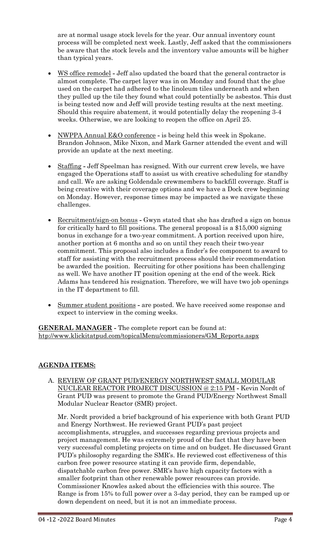are at normal usage stock levels for the year. Our annual inventory count process will be completed next week. Lastly, Jeff asked that the commissioners be aware that the stock levels and the inventory value amounts will be higher than typical years.

- WS office remodel **-** Jeff also updated the board that the general contractor is almost complete. The carpet layer was in on Monday and found that the glue used on the carpet had adhered to the linoleum tiles underneath and when they pulled up the tile they found what could potentially be asbestos. This dust is being tested now and Jeff will provide testing results at the next meeting. Should this require abatement, it would potentially delay the reopening 3-4 weeks. Otherwise, we are looking to reopen the office on April 25.
- NWPPA Annual E&O conference **-** is being held this week in Spokane. Brandon Johnson, Mike Nixon, and Mark Garner attended the event and will provide an update at the next meeting.
- Staffing **-** Jeff Speelman has resigned. With our current crew levels, we have engaged the Operations staff to assist us with creative scheduling for standby and call. We are asking Goldendale crewmembers to backfill coverage. Staff is being creative with their coverage options and we have a Dock crew beginning on Monday. However, response times may be impacted as we navigate these challenges.
- Recruitment/sign-on bonus Gwyn stated that she has drafted a sign on bonus for critically hard to fill positions. The general proposal is a \$15,000 signing bonus in exchange for a two-year commitment. A portion received upon hire, another portion at 6 months and so on until they reach their two-year commitment. This proposal also includes a finder's fee component to award to staff for assisting with the recruitment process should their recommendation be awarded the position. Recruiting for other positions has been challenging as well. We have another IT position opening at the end of the week. Rick Adams has tendered his resignation. Therefore, we will have two job openings in the IT department to fill.
- Summer student positions **-** are posted. We have received some response and expect to interview in the coming weeks.

**GENERAL MANAGER -** The complete report can be found at: [htp://www.klickitatpud.com/topicalMenu/commissioners/GM\\_Reports.aspx](http://www.klickitatpud.com/topicalMenu/commissioners/GM_Reports.aspx)

# **AGENDA ITEMS:**

A. REVIEW OF GRANT PUD/ENERGY NORTHWEST SMALL MODULAR NUCLEAR REACTOR PROJECT DISCUSSION @ 2:15 PM **-** Kevin Nordt of Grant PUD was present to promote the Grand PUD/Energy Northwest Small Modular Nuclear Reactor (SMR) project.

Mr. Nordt provided a brief background of his experience with both Grant PUD and Energy Northwest. He reviewed Grant PUD's past project accomplishments, struggles, and successes regarding previous projects and project management. He was extremely proud of the fact that they have been very successful completing projects on time and on budget. He discussed Grant PUD's philosophy regarding the SMR's. He reviewed cost effectiveness of this carbon free power resource stating it can provide firm, dependable, dispatchable carbon free power. SMR's have high capacity factors with a smaller footprint than other renewable power resources can provide. Commissioner Knowles asked about the efficiencies with this source. The Range is from 15% to full power over a 3-day period, they can be ramped up or down dependent on need, but it is not an immediate process.